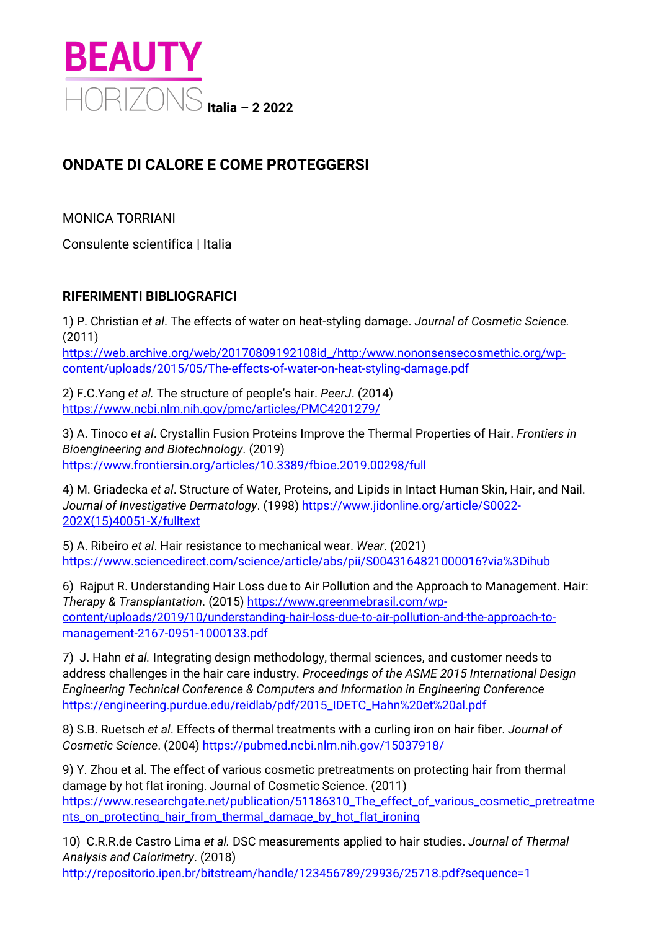

## **ONDATE DI CALORE E COME PROTEGGERSI**

MONICA TORRIANI

Consulente scientifica | Italia

## **RIFERIMENTI BIBLIOGRAFICI**

1) P. Christian *et al*. The effects of water on heat-styling damage. *Journal of Cosmetic Science.* (2011)

[https://web.archive.org/web/20170809192108id\\_/http:/www.nononsensecosmethic.org/wp](https://web.archive.org/web/20170809192108id_/http:/www.nononsensecosmethic.org/wp-content/uploads/2015/05/The-effects-of-water-on-heat-styling-damage.pdf)[content/uploads/2015/05/The-effects-of-water-on-heat-styling-damage.pdf](https://web.archive.org/web/20170809192108id_/http:/www.nononsensecosmethic.org/wp-content/uploads/2015/05/The-effects-of-water-on-heat-styling-damage.pdf)

2) F.C.Yang *et al.* The structure of people's hair. *PeerJ*. (2014) <https://www.ncbi.nlm.nih.gov/pmc/articles/PMC4201279/>

3) A. Tinoco *et al*. Crystallin Fusion Proteins Improve the Thermal Properties of Hair. *Frontiers in Bioengineering and Biotechnology*. (2019) <https://www.frontiersin.org/articles/10.3389/fbioe.2019.00298/full>

4) M. Griadecka *et al*. Structure of Water, Proteins, and Lipids in Intact Human Skin, Hair, and Nail. *Journal of Investigative Dermatology*. (1998) [https://www.jidonline.org/article/S0022-](https://www.jidonline.org/article/S0022-202X(15)40051-X/fulltext) [202X\(15\)40051-X/fulltext](https://www.jidonline.org/article/S0022-202X(15)40051-X/fulltext)

5) A. Ribeiro *et al*. Hair resistance to mechanical wear. *Wear*. (2021) <https://www.sciencedirect.com/science/article/abs/pii/S0043164821000016?via%3Dihub>

6) Rajput R. Understanding Hair Loss due to Air Pollution and the Approach to Management. Hair: *Therapy & Transplantation*. (2015[\) https://www.greenmebrasil.com/wp](https://www.greenmebrasil.com/wp-content/uploads/2019/10/understanding-hair-loss-due-to-air-pollution-and-the-approach-to-management-2167-0951-1000133.pdf)[content/uploads/2019/10/understanding-hair-loss-due-to-air-pollution-and-the-approach-to](https://www.greenmebrasil.com/wp-content/uploads/2019/10/understanding-hair-loss-due-to-air-pollution-and-the-approach-to-management-2167-0951-1000133.pdf)[management-2167-0951-1000133.pdf](https://www.greenmebrasil.com/wp-content/uploads/2019/10/understanding-hair-loss-due-to-air-pollution-and-the-approach-to-management-2167-0951-1000133.pdf)

7) J. Hahn *et al.* Integrating design methodology, thermal sciences, and customer needs to address challenges in the hair care industry. *Proceedings of the ASME 2015 International Design Engineering Technical Conference & Computers and Information in Engineering Conference* [https://engineering.purdue.edu/reidlab/pdf/2015\\_IDETC\\_Hahn%20et%20al.pdf](https://engineering.purdue.edu/reidlab/pdf/2015_IDETC_Hahn%20et%20al.pdf)

8) S.B. Ruetsch *et al*. Effects of thermal treatments with a curling iron on hair fiber. *Journal of Cosmetic Science*. (2004)<https://pubmed.ncbi.nlm.nih.gov/15037918/>

9) Y. Zhou et al. The effect of various cosmetic pretreatments on protecting hair from thermal damage by hot flat ironing. Journal of Cosmetic Science. (2011) [https://www.researchgate.net/publication/51186310\\_The\\_effect\\_of\\_various\\_cosmetic\\_pretreatme](https://www.researchgate.net/publication/51186310_The_effect_of_various_cosmetic_pretreatments_on_protecting_hair_from_thermal_damage_by_hot_flat_ironing) [nts\\_on\\_protecting\\_hair\\_from\\_thermal\\_damage\\_by\\_hot\\_flat\\_ironing](https://www.researchgate.net/publication/51186310_The_effect_of_various_cosmetic_pretreatments_on_protecting_hair_from_thermal_damage_by_hot_flat_ironing)

10) C.R.R.de Castro Lima *et al.* DSC measurements applied to hair studies. *Journal of Thermal Analysis and Calorimetry*. (2018) <http://repositorio.ipen.br/bitstream/handle/123456789/29936/25718.pdf?sequence=1>